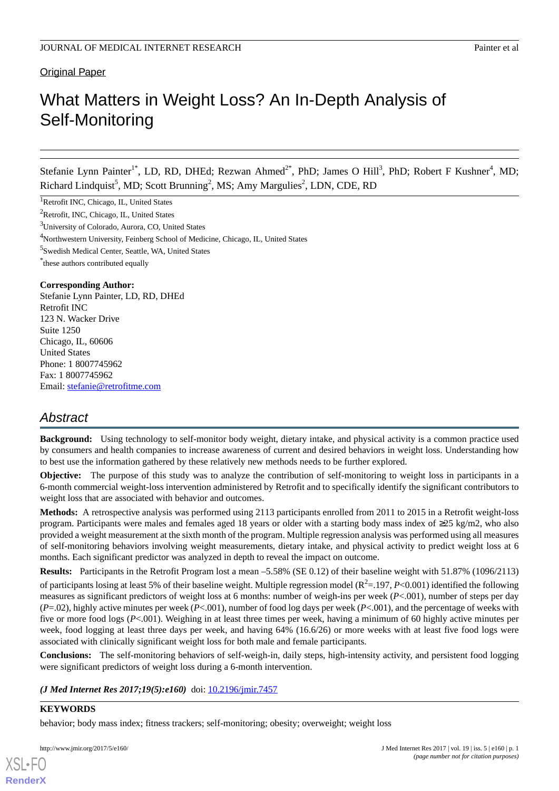# Original Paper

# What Matters in Weight Loss? An In-Depth Analysis of Self-Monitoring

Stefanie Lynn Painter<sup>1\*</sup>, LD, RD, DHEd; Rezwan Ahmed<sup>2\*</sup>, PhD; James O Hill<sup>3</sup>, PhD; Robert F Kushner<sup>4</sup>, MD; Richard Lindquist<sup>5</sup>, MD; Scott Brunning<sup>2</sup>, MS; Amy Margulies<sup>2</sup>, LDN, CDE, RD

<sup>1</sup>Retrofit INC, Chicago, IL, United States

<sup>2</sup>Retrofit, INC, Chicago, IL, United States

<sup>3</sup>University of Colorado, Aurora, CO, United States

<sup>4</sup>Northwestern University, Feinberg School of Medicine, Chicago, IL, United States

5 Swedish Medical Center, Seattle, WA, United States

\* these authors contributed equally

#### **Corresponding Author:**

Stefanie Lynn Painter, LD, RD, DHEd Retrofit INC 123 N. Wacker Drive Suite 1250 Chicago, IL, 60606 United States Phone: 1 8007745962 Fax: 1 8007745962 Email: [stefanie@retrofitme.com](mailto:stefanie@retrofitme.com)

# *Abstract*

**Background:** Using technology to self-monitor body weight, dietary intake, and physical activity is a common practice used by consumers and health companies to increase awareness of current and desired behaviors in weight loss. Understanding how to best use the information gathered by these relatively new methods needs to be further explored.

**Objective:** The purpose of this study was to analyze the contribution of self-monitoring to weight loss in participants in a 6-month commercial weight-loss intervention administered by Retrofit and to specifically identify the significant contributors to weight loss that are associated with behavior and outcomes.

**Methods:** A retrospective analysis was performed using 2113 participants enrolled from 2011 to 2015 in a Retrofit weight-loss program. Participants were males and females aged 18 years or older with a starting body mass index of ≥25 kg/m2, who also provided a weight measurement at the sixth month of the program. Multiple regression analysis was performed using all measures of self-monitoring behaviors involving weight measurements, dietary intake, and physical activity to predict weight loss at 6 months. Each significant predictor was analyzed in depth to reveal the impact on outcome.

**Results:** Participants in the Retrofit Program lost a mean –5.58% (SE 0.12) of their baseline weight with 51.87% (1096/2113) of participants losing at least 5% of their baseline weight. Multiple regression model ( $R^2 = 197$ ,  $P < 0.001$ ) identified the following measures as significant predictors of weight loss at 6 months: number of weigh-ins per week (*P*<.001), number of steps per day (*P*=.02), highly active minutes per week (*P*<.001), number of food log days per week (*P*<.001), and the percentage of weeks with five or more food logs (*P*<.001). Weighing in at least three times per week, having a minimum of 60 highly active minutes per week, food logging at least three days per week, and having 64% (16.6/26) or more weeks with at least five food logs were associated with clinically significant weight loss for both male and female participants.

**Conclusions:** The self-monitoring behaviors of self-weigh-in, daily steps, high-intensity activity, and persistent food logging were significant predictors of weight loss during a 6-month intervention.

*(J Med Internet Res 2017;19(5):e160)* doi: [10.2196/jmir.7457](http://dx.doi.org/10.2196/jmir.7457)

# **KEYWORDS**

[XSL](http://www.w3.org/Style/XSL)•FO **[RenderX](http://www.renderx.com/)**

behavior; body mass index; fitness trackers; self-monitoring; obesity; overweight; weight loss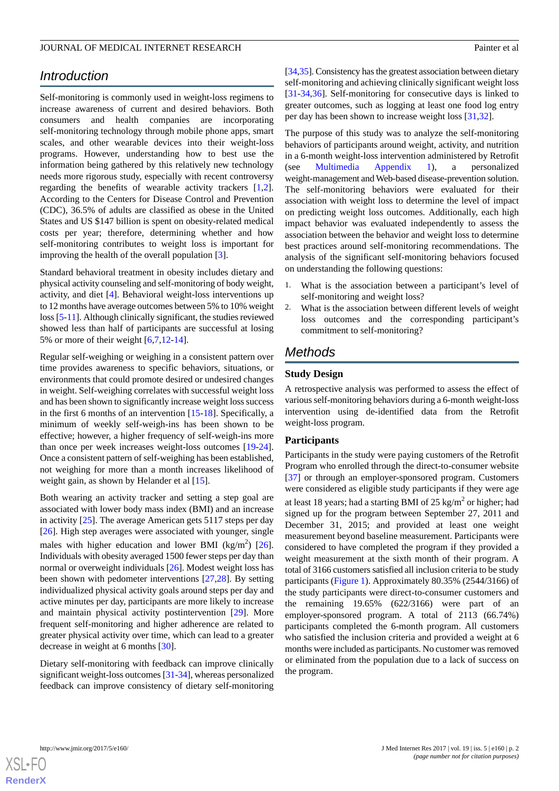# *Introduction*

Self-monitoring is commonly used in weight-loss regimens to increase awareness of current and desired behaviors. Both consumers and health companies are incorporating self-monitoring technology through mobile phone apps, smart scales, and other wearable devices into their weight-loss programs. However, understanding how to best use the information being gathered by this relatively new technology needs more rigorous study, especially with recent controversy regarding the benefits of wearable activity trackers [\[1](#page-10-0),[2\]](#page-10-1). According to the Centers for Disease Control and Prevention (CDC), 36.5% of adults are classified as obese in the United States and US \$147 billion is spent on obesity-related medical costs per year; therefore, determining whether and how self-monitoring contributes to weight loss is important for improving the health of the overall population [\[3](#page-10-2)].

Standard behavioral treatment in obesity includes dietary and physical activity counseling and self-monitoring of body weight, activity, and diet [\[4](#page-10-3)]. Behavioral weight-loss interventions up to 12 months have average outcomes between 5% to 10% weight loss [\[5](#page-10-4)[-11](#page-11-0)]. Although clinically significant, the studies reviewed showed less than half of participants are successful at losing 5% or more of their weight [[6](#page-10-5)[,7](#page-10-6),[12](#page-11-1)[-14](#page-11-2)].

Regular self-weighing or weighing in a consistent pattern over time provides awareness to specific behaviors, situations, or environments that could promote desired or undesired changes in weight. Self-weighing correlates with successful weight loss and has been shown to significantly increase weight loss success in the first 6 months of an intervention [\[15](#page-11-3)-[18\]](#page-11-4). Specifically, a minimum of weekly self-weigh-ins has been shown to be effective; however, a higher frequency of self-weigh-ins more than once per week increases weight-loss outcomes [\[19](#page-11-5)-[24\]](#page-11-6). Once a consistent pattern of self-weighing has been established, not weighing for more than a month increases likelihood of weight gain, as shown by Helander et al [\[15](#page-11-3)].

Both wearing an activity tracker and setting a step goal are associated with lower body mass index (BMI) and an increase in activity  $[25]$  $[25]$ . The average American gets 5117 steps per day [[26\]](#page-11-8). High step averages were associated with younger, single males with higher education and lower BMI (kg/m<sup>2</sup>) [[26\]](#page-11-8). Individuals with obesity averaged 1500 fewer steps per day than normal or overweight individuals [[26\]](#page-11-8). Modest weight loss has been shown with pedometer interventions [[27,](#page-11-9)[28](#page-11-10)]. By setting individualized physical activity goals around steps per day and active minutes per day, participants are more likely to increase and maintain physical activity postintervention [[29\]](#page-11-11). More frequent self-monitoring and higher adherence are related to greater physical activity over time, which can lead to a greater decrease in weight at 6 months [[30\]](#page-11-12).

Dietary self-monitoring with feedback can improve clinically significant weight-loss outcomes [[31](#page-12-0)-[34\]](#page-12-1), whereas personalized feedback can improve consistency of dietary self-monitoring

[[34,](#page-12-1)[35\]](#page-12-2). Consistency has the greatest association between dietary self-monitoring and achieving clinically significant weight loss [[31](#page-12-0)[-34](#page-12-1),[36\]](#page-12-3). Self-monitoring for consecutive days is linked to greater outcomes, such as logging at least one food log entry per day has been shown to increase weight loss [\[31](#page-12-0),[32\]](#page-12-4).

The purpose of this study was to analyze the self-monitoring behaviors of participants around weight, activity, and nutrition in a 6-month weight-loss intervention administered by Retrofit (see [Multimedia Appendix 1\)](#page-10-7), a personalized weight-management and Web-based disease-prevention solution. The self-monitoring behaviors were evaluated for their association with weight loss to determine the level of impact on predicting weight loss outcomes. Additionally, each high impact behavior was evaluated independently to assess the association between the behavior and weight loss to determine best practices around self-monitoring recommendations. The analysis of the significant self-monitoring behaviors focused on understanding the following questions:

- 1. What is the association between a participant's level of self-monitoring and weight loss?
- 2. What is the association between different levels of weight loss outcomes and the corresponding participant's commitment to self-monitoring?

# *Methods*

## **Study Design**

A retrospective analysis was performed to assess the effect of various self-monitoring behaviors during a 6-month weight-loss intervention using de-identified data from the Retrofit weight-loss program.

#### **Participants**

Participants in the study were paying customers of the Retrofit Program who enrolled through the direct-to-consumer website [[37\]](#page-12-5) or through an employer-sponsored program. Customers were considered as eligible study participants if they were age at least 18 years; had a starting BMI of 25 kg/m<sup>2</sup> or higher; had signed up for the program between September 27, 2011 and December 31, 2015; and provided at least one weight measurement beyond baseline measurement. Participants were considered to have completed the program if they provided a weight measurement at the sixth month of their program. A total of 3166 customers satisfied all inclusion criteria to be study participants ([Figure 1](#page-2-0)). Approximately 80.35% (2544/3166) of the study participants were direct-to-consumer customers and the remaining 19.65% (622/3166) were part of an employer-sponsored program. A total of 2113 (66.74%) participants completed the 6-month program. All customers who satisfied the inclusion criteria and provided a weight at 6 months were included as participants. No customer was removed or eliminated from the population due to a lack of success on the program.

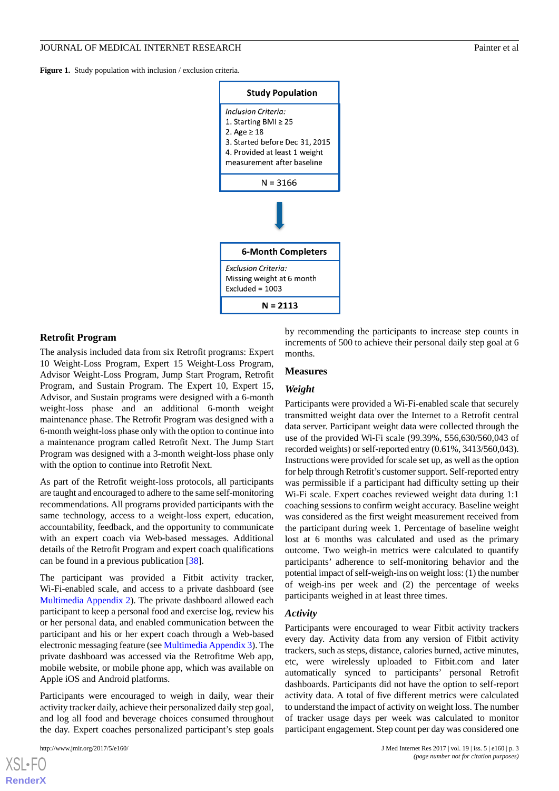<span id="page-2-0"></span>Figure 1. Study population with inclusion / exclusion criteria.



#### **Retrofit Program**

The analysis included data from six Retrofit programs: Expert 10 Weight-Loss Program, Expert 15 Weight-Loss Program, Advisor Weight-Loss Program, Jump Start Program, Retrofit Program, and Sustain Program. The Expert 10, Expert 15, Advisor, and Sustain programs were designed with a 6-month weight-loss phase and an additional 6-month weight maintenance phase. The Retrofit Program was designed with a 6-month weight-loss phase only with the option to continue into a maintenance program called Retrofit Next. The Jump Start Program was designed with a 3-month weight-loss phase only with the option to continue into Retrofit Next.

As part of the Retrofit weight-loss protocols, all participants are taught and encouraged to adhere to the same self-monitoring recommendations. All programs provided participants with the same technology, access to a weight-loss expert, education, accountability, feedback, and the opportunity to communicate with an expert coach via Web-based messages. Additional details of the Retrofit Program and expert coach qualifications can be found in a previous publication [\[38](#page-12-6)].

The participant was provided a Fitbit activity tracker, Wi-Fi-enabled scale, and access to a private dashboard (see [Multimedia Appendix 2\)](#page-10-8). The private dashboard allowed each participant to keep a personal food and exercise log, review his or her personal data, and enabled communication between the participant and his or her expert coach through a Web-based electronic messaging feature (see [Multimedia Appendix 3\)](#page-10-9). The private dashboard was accessed via the Retrofitme Web app, mobile website, or mobile phone app, which was available on Apple iOS and Android platforms.

Participants were encouraged to weigh in daily, wear their activity tracker daily, achieve their personalized daily step goal, and log all food and beverage choices consumed throughout the day. Expert coaches personalized participant's step goals

by recommending the participants to increase step counts in increments of 500 to achieve their personal daily step goal at 6 months.

#### **Measures**

# *Weight*

Participants were provided a Wi-Fi-enabled scale that securely transmitted weight data over the Internet to a Retrofit central data server. Participant weight data were collected through the use of the provided Wi-Fi scale (99.39%, 556,630/560,043 of recorded weights) or self-reported entry (0.61%, 3413/560,043). Instructions were provided for scale set up, as well as the option for help through Retrofit's customer support. Self-reported entry was permissible if a participant had difficulty setting up their Wi-Fi scale. Expert coaches reviewed weight data during 1:1 coaching sessions to confirm weight accuracy. Baseline weight was considered as the first weight measurement received from the participant during week 1. Percentage of baseline weight lost at 6 months was calculated and used as the primary outcome. Two weigh-in metrics were calculated to quantify participants' adherence to self-monitoring behavior and the potential impact of self-weigh-ins on weight loss: (1) the number of weigh-ins per week and (2) the percentage of weeks participants weighed in at least three times.

#### *Activity*

Participants were encouraged to wear Fitbit activity trackers every day. Activity data from any version of Fitbit activity trackers, such as steps, distance, calories burned, active minutes, etc, were wirelessly uploaded to Fitbit.com and later automatically synced to participants' personal Retrofit dashboards. Participants did not have the option to self-report activity data. A total of five different metrics were calculated to understand the impact of activity on weight loss. The number of tracker usage days per week was calculated to monitor participant engagement. Step count per day was considered one

```
XSL•FO
RenderX
```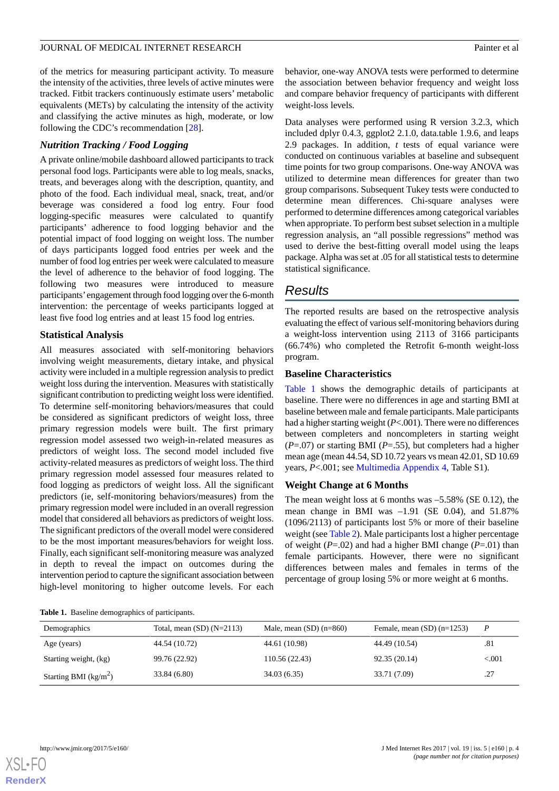of the metrics for measuring participant activity. To measure the intensity of the activities, three levels of active minutes were tracked. Fitbit trackers continuously estimate users' metabolic equivalents (METs) by calculating the intensity of the activity and classifying the active minutes as high, moderate, or low following the CDC's recommendation [\[28](#page-11-10)].

# *Nutrition Tracking / Food Logging*

A private online/mobile dashboard allowed participants to track personal food logs. Participants were able to log meals, snacks, treats, and beverages along with the description, quantity, and photo of the food. Each individual meal, snack, treat, and/or beverage was considered a food log entry. Four food logging-specific measures were calculated to quantify participants' adherence to food logging behavior and the potential impact of food logging on weight loss. The number of days participants logged food entries per week and the number of food log entries per week were calculated to measure the level of adherence to the behavior of food logging. The following two measures were introduced to measure participants'engagement through food logging over the 6-month intervention: the percentage of weeks participants logged at least five food log entries and at least 15 food log entries.

# **Statistical Analysis**

All measures associated with self-monitoring behaviors involving weight measurements, dietary intake, and physical activity were included in a multiple regression analysis to predict weight loss during the intervention. Measures with statistically significant contribution to predicting weight loss were identified. To determine self-monitoring behaviors/measures that could be considered as significant predictors of weight loss, three primary regression models were built. The first primary regression model assessed two weigh-in-related measures as predictors of weight loss. The second model included five activity-related measures as predictors of weight loss. The third primary regression model assessed four measures related to food logging as predictors of weight loss. All the significant predictors (ie, self-monitoring behaviors/measures) from the primary regression model were included in an overall regression model that considered all behaviors as predictors of weight loss. The significant predictors of the overall model were considered to be the most important measures/behaviors for weight loss. Finally, each significant self-monitoring measure was analyzed in depth to reveal the impact on outcomes during the intervention period to capture the significant association between high-level monitoring to higher outcome levels. For each

behavior, one-way ANOVA tests were performed to determine the association between behavior frequency and weight loss and compare behavior frequency of participants with different weight-loss levels.

Data analyses were performed using R version 3.2.3, which included dplyr 0.4.3, ggplot2 2.1.0, data.table 1.9.6, and leaps 2.9 packages. In addition, *t* tests of equal variance were conducted on continuous variables at baseline and subsequent time points for two group comparisons. One-way ANOVA was utilized to determine mean differences for greater than two group comparisons. Subsequent Tukey tests were conducted to determine mean differences. Chi-square analyses were performed to determine differences among categorical variables when appropriate. To perform best subset selection in a multiple regression analysis, an "all possible regressions" method was used to derive the best-fitting overall model using the leaps package. Alpha was set at .05 for all statistical tests to determine statistical significance.

# *Results*

The reported results are based on the retrospective analysis evaluating the effect of various self-monitoring behaviors during a weight-loss intervention using 2113 of 3166 participants (66.74%) who completed the Retrofit 6-month weight-loss program.

# **Baseline Characteristics**

[Table 1](#page-3-0) shows the demographic details of participants at baseline. There were no differences in age and starting BMI at baseline between male and female participants. Male participants had a higher starting weight (*P*<.001). There were no differences between completers and noncompleters in starting weight (*P*=.07) or starting BMI (*P*=.55), but completers had a higher mean age (mean 44.54, SD 10.72 years vs mean 42.01, SD 10.69 years, *P*<.001; see [Multimedia Appendix 4,](#page-10-10) Table S1).

# **Weight Change at 6 Months**

The mean weight loss at 6 months was –5.58% (SE 0.12), the mean change in BMI was  $-1.91$  (SE 0.04), and 51.87% (1096/2113) of participants lost 5% or more of their baseline weight (see [Table 2\)](#page-4-0). Male participants lost a higher percentage of weight (*P*=.02) and had a higher BMI change (*P*=.01) than female participants. However, there were no significant differences between males and females in terms of the percentage of group losing 5% or more weight at 6 months.

<span id="page-3-0"></span>**Table 1.** Baseline demographics of participants.

| Demographics            | Total, mean $(SD)$ $(N=2113)$ | Male, mean $(SD)$ (n=860) | Female, mean $(SD)$ (n=1253) | P       |
|-------------------------|-------------------------------|---------------------------|------------------------------|---------|
| Age (years)             | 44.54 (10.72)                 | 44.61 (10.98)             | 44.49 (10.54)                | .81     |
| Starting weight, (kg)   | 99.76 (22.92)                 | 110.56 (22.43)            | 92.35(20.14)                 | < 0.001 |
| Starting BMI $(kg/m^2)$ | 33.84 (6.80)                  | 34.03 (6.35)              | 33.71 (7.09)                 | .27     |



**[RenderX](http://www.renderx.com/)**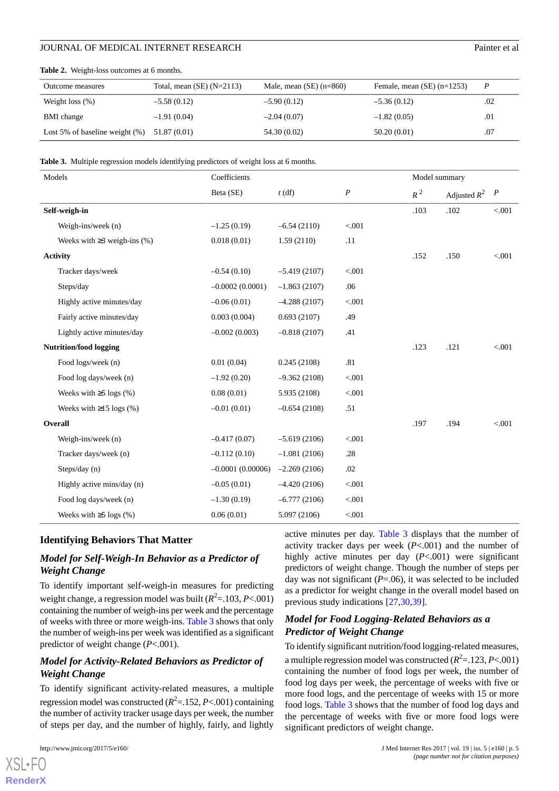| Outcome measures                  | Total, mean $(SE)$ $(N=2113)$ | Male, mean $(SE)$ (n=860) | Female, mean $(SE)$ (n=1253) | $\boldsymbol{P}$ |
|-----------------------------------|-------------------------------|---------------------------|------------------------------|------------------|
| Weight loss $(\%)$                | $-5.58(0.12)$                 | $-5.90(0.12)$             | $-5.36(0.12)$                | .02              |
| <b>BMI</b> change                 | $-1.91(0.04)$                 | $-2.04(0.07)$             | $-1.82(0.05)$                | .01              |
| Lost 5% of baseline weight $(\%)$ | 51.87 (0.01)                  | 54.30 (0.02)              | 50.20(0.01)                  | .07              |

#### <span id="page-4-0"></span>**Table 2.** Weight-loss outcomes at 6 months.

<span id="page-4-1"></span>**Table 3.** Multiple regression models identifying predictors of weight loss at 6 months.

| Models |                                   | Coefficients       |                |                  | Model summary |                |                  |
|--------|-----------------------------------|--------------------|----------------|------------------|---------------|----------------|------------------|
|        |                                   | Beta (SE)          | $t$ (df)       | $\boldsymbol{P}$ | $R^2$         | Adjusted $R^2$ | $\boldsymbol{P}$ |
|        | Self-weigh-in                     |                    |                |                  | .103          | .102           | < 0.001          |
|        | Weigh-ins/week (n)                | $-1.25(0.19)$      | $-6.54(2110)$  | < 0.001          |               |                |                  |
|        | Weeks with $\geq$ 3 weigh-ins (%) | 0.018(0.01)        | 1.59(2110)     | .11              |               |                |                  |
|        | <b>Activity</b>                   |                    |                |                  | .152          | .150           | < 0.001          |
|        | Tracker days/week                 | $-0.54(0.10)$      | $-5.419(2107)$ | < .001           |               |                |                  |
|        | Steps/day                         | $-0.0002(0.0001)$  | $-1.863(2107)$ | .06              |               |                |                  |
|        | Highly active minutes/day         | $-0.06(0.01)$      | $-4.288(2107)$ | < .001           |               |                |                  |
|        | Fairly active minutes/day         | 0.003(0.004)       | 0.693(2107)    | .49              |               |                |                  |
|        | Lightly active minutes/day        | $-0.002(0.003)$    | $-0.818(2107)$ | .41              |               |                |                  |
|        | <b>Nutrition/food logging</b>     |                    |                |                  | .123          | .121           | < 0.001          |
|        | Food logs/week (n)                | 0.01(0.04)         | 0.245(2108)    | .81              |               |                |                  |
|        | Food log days/week (n)            | $-1.92(0.20)$      | $-9.362(2108)$ | < .001           |               |                |                  |
|        | Weeks with $\geq$ 5 logs (%)      | 0.08(0.01)         | 5.935 (2108)   | $< 001$          |               |                |                  |
|        | Weeks with $\geq$ 15 logs (%)     | $-0.01(0.01)$      | $-0.654(2108)$ | .51              |               |                |                  |
|        | Overall                           |                    |                |                  | .197          | .194           | < 0.001          |
|        | Weigh-ins/week (n)                | $-0.417(0.07)$     | $-5.619(2106)$ | < 0.001          |               |                |                  |
|        | Tracker days/week (n)             | $-0.112(0.10)$     | $-1.081(2106)$ | .28              |               |                |                  |
|        | Steps/day $(n)$                   | $-0.0001(0.00006)$ | $-2.269(2106)$ | .02              |               |                |                  |
|        | Highly active mins/day (n)        | $-0.05(0.01)$      | $-4.420(2106)$ | $< 001$          |               |                |                  |
|        | Food log days/week (n)            | $-1.30(0.19)$      | $-6.777(2106)$ | $< 001$          |               |                |                  |
|        | Weeks with $\geq$ 5 logs (%)      | 0.06(0.01)         | 5.097 (2106)   | $< 001$          |               |                |                  |

#### **Identifying Behaviors That Matter**

# *Model for Self-Weigh-In Behavior as a Predictor of Weight Change*

To identify important self-weigh-in measures for predicting weight change, a regression model was built ( $R^2 = 103, P < 001$ ) containing the number of weigh-ins per week and the percentage of weeks with three or more weigh-ins. [Table 3](#page-4-1) shows that only the number of weigh-ins per week was identified as a significant predictor of weight change (*P*<.001).

# *Model for Activity-Related Behaviors as Predictor of Weight Change*

To identify significant activity-related measures, a multiple regression model was constructed (*R* 2 =.152, *P*<.001) containing the number of activity tracker usage days per week, the number of steps per day, and the number of highly, fairly, and lightly

[XSL](http://www.w3.org/Style/XSL)•FO **[RenderX](http://www.renderx.com/)**

active minutes per day. [Table 3](#page-4-1) displays that the number of activity tracker days per week (*P*<.001) and the number of highly active minutes per day (*P*<.001) were significant predictors of weight change. Though the number of steps per day was not significant (*P*=.06), it was selected to be included as a predictor for weight change in the overall model based on previous study indications [\[27](#page-11-9),[30,](#page-11-12)[39](#page-12-7)].

# *Model for Food Logging-Related Behaviors as a Predictor of Weight Change*

To identify significant nutrition/food logging-related measures, a multiple regression model was constructed ( $R^2 = 123, P < 001$ ) containing the number of food logs per week, the number of food log days per week, the percentage of weeks with five or more food logs, and the percentage of weeks with 15 or more food logs. [Table 3](#page-4-1) shows that the number of food log days and the percentage of weeks with five or more food logs were significant predictors of weight change.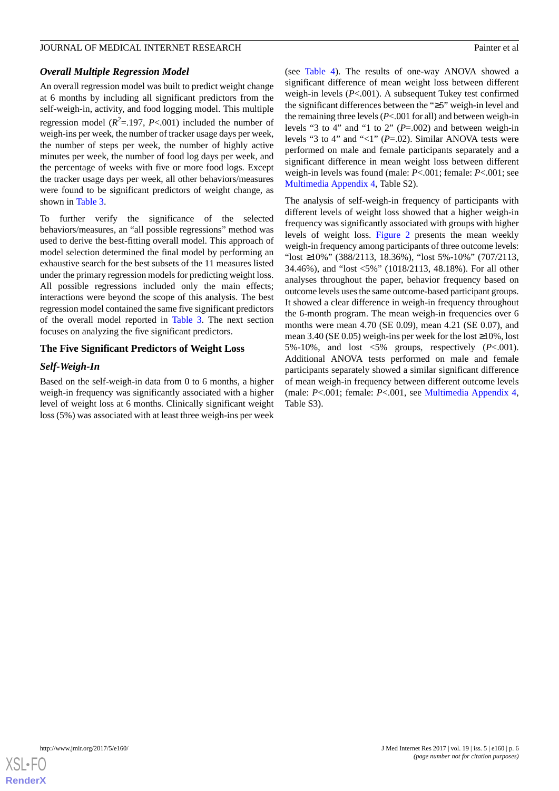#### *Overall Multiple Regression Model*

An overall regression model was built to predict weight change at 6 months by including all significant predictors from the self-weigh-in, activity, and food logging model. This multiple regression model  $(R^2 = 197, P < .001)$  included the number of weigh-ins per week, the number of tracker usage days per week, the number of steps per week, the number of highly active minutes per week, the number of food log days per week, and the percentage of weeks with five or more food logs. Except the tracker usage days per week, all other behaviors/measures were found to be significant predictors of weight change, as shown in [Table 3.](#page-4-1)

To further verify the significance of the selected behaviors/measures, an "all possible regressions" method was used to derive the best-fitting overall model. This approach of model selection determined the final model by performing an exhaustive search for the best subsets of the 11 measures listed under the primary regression models for predicting weight loss. All possible regressions included only the main effects; interactions were beyond the scope of this analysis. The best regression model contained the same five significant predictors of the overall model reported in [Table 3.](#page-4-1) The next section focuses on analyzing the five significant predictors.

## **The Five Significant Predictors of Weight Loss**

#### *Self-Weigh-In*

Based on the self-weigh-in data from 0 to 6 months, a higher weigh-in frequency was significantly associated with a higher level of weight loss at 6 months. Clinically significant weight loss (5%) was associated with at least three weigh-ins per week

(see [Table 4](#page-6-0)). The results of one-way ANOVA showed a significant difference of mean weight loss between different weigh-in levels (*P*<.001). A subsequent Tukey test confirmed the significant differences between the "≥5" weigh-in level and the remaining three levels (*P*<.001 for all) and between weigh-in levels "3 to 4" and "1 to 2" (*P*=.002) and between weigh-in levels "3 to 4" and "<1" (*P*=.02). Similar ANOVA tests were performed on male and female participants separately and a significant difference in mean weight loss between different weigh-in levels was found (male: *P*<.001; female: *P*<.001; see [Multimedia Appendix 4,](#page-10-10) Table S2).

The analysis of self-weigh-in frequency of participants with different levels of weight loss showed that a higher weigh-in frequency was significantly associated with groups with higher levels of weight loss. [Figure 2](#page-6-1) presents the mean weekly weigh-in frequency among participants of three outcome levels: "lost ≥10%" (388/2113, 18.36%), "lost 5%-10%" (707/2113, 34.46%), and "lost <5%" (1018/2113, 48.18%). For all other analyses throughout the paper, behavior frequency based on outcome levels uses the same outcome-based participant groups. It showed a clear difference in weigh-in frequency throughout the 6-month program. The mean weigh-in frequencies over 6 months were mean 4.70 (SE 0.09), mean 4.21 (SE 0.07), and mean 3.40 (SE 0.05) weigh-ins per week for the lost  $\geq$ 10%, lost 5%-10%, and lost <5% groups, respectively (*P*<.001). Additional ANOVA tests performed on male and female participants separately showed a similar significant difference of mean weigh-in frequency between different outcome levels (male: *P*<.001; female: *P*<.001, see [Multimedia Appendix 4](#page-10-10), Table S3).

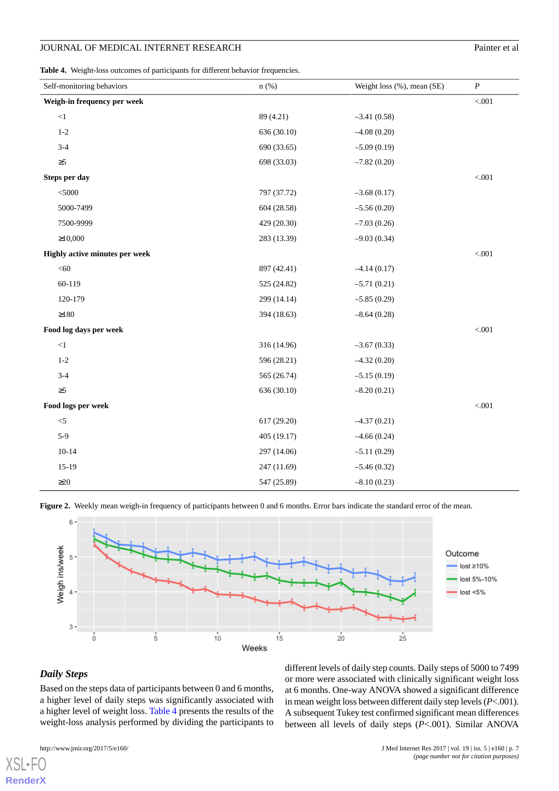#### JOURNAL OF MEDICAL INTERNET RESEARCH

<span id="page-6-0"></span>**Table 4.** Weight-loss outcomes of participants for different behavior frequencies.

|  |  | Painter et al |  |  |
|--|--|---------------|--|--|
|--|--|---------------|--|--|

| Self-monitoring behaviors      | $n$ (%)     | Weight loss (%), mean (SE) | $\boldsymbol{P}$ |
|--------------------------------|-------------|----------------------------|------------------|
| Weigh-in frequency per week    |             |                            | $< 001$          |
| <1                             | 89 (4.21)   | $-3.41(0.58)$              |                  |
| $1-2$                          | 636 (30.10) | $-4.08(0.20)$              |                  |
| $3 - 4$                        | 690 (33.65) | $-5.09(0.19)$              |                  |
| $\geq 5$                       | 698 (33.03) | $-7.82(0.20)$              |                  |
| Steps per day                  |             |                            | $< 001$          |
| $<$ 5000                       | 797 (37.72) | $-3.68(0.17)$              |                  |
| 5000-7499                      | 604 (28.58) | $-5.56(0.20)$              |                  |
| 7500-9999                      | 429 (20.30) | $-7.03(0.26)$              |                  |
| $\geq 10,000$                  | 283 (13.39) | $-9.03(0.34)$              |                  |
| Highly active minutes per week |             |                            | < 0.001          |
| $<\!\!60$                      | 897 (42.41) | $-4.14(0.17)$              |                  |
| 60-119                         | 525 (24.82) | $-5.71(0.21)$              |                  |
| 120-179                        | 299 (14.14) | $-5.85(0.29)$              |                  |
| ${\geq}180$                    | 394 (18.63) | $-8.64(0.28)$              |                  |
| Food log days per week         |             |                            | < 0.001          |
| <1                             | 316 (14.96) | $-3.67(0.33)$              |                  |
| $1 - 2$                        | 596 (28.21) | $-4.32(0.20)$              |                  |
| $3 - 4$                        | 565 (26.74) | $-5.15(0.19)$              |                  |
| $\geq 5$                       | 636 (30.10) | $-8.20(0.21)$              |                  |
| Food logs per week             |             |                            | $< 001$          |
| $< \! 5$                       | 617 (29.20) | $-4.37(0.21)$              |                  |
| $5-9$                          | 405(19.17)  | $-4.66(0.24)$              |                  |
| $10 - 14$                      | 297 (14.06) | $-5.11(0.29)$              |                  |
| $15-19$                        | 247 (11.69) | $-5.46(0.32)$              |                  |
| $\geq$ 20                      | 547 (25.89) | $-8.10(0.23)$              |                  |

<span id="page-6-1"></span>



# *Daily Steps*

[XSL](http://www.w3.org/Style/XSL)•FO **[RenderX](http://www.renderx.com/)**

Based on the steps data of participants between 0 and 6 months, a higher level of daily steps was significantly associated with a higher level of weight loss. [Table 4](#page-6-0) presents the results of the weight-loss analysis performed by dividing the participants to

or more were associated with clinically significant weight loss at 6 months. One-way ANOVA showed a significant difference in mean weight loss between different daily step levels (*P*<.001). A subsequent Tukey test confirmed significant mean differences between all levels of daily steps (*P*<.001). Similar ANOVA

different levels of daily step counts. Daily steps of 5000 to 7499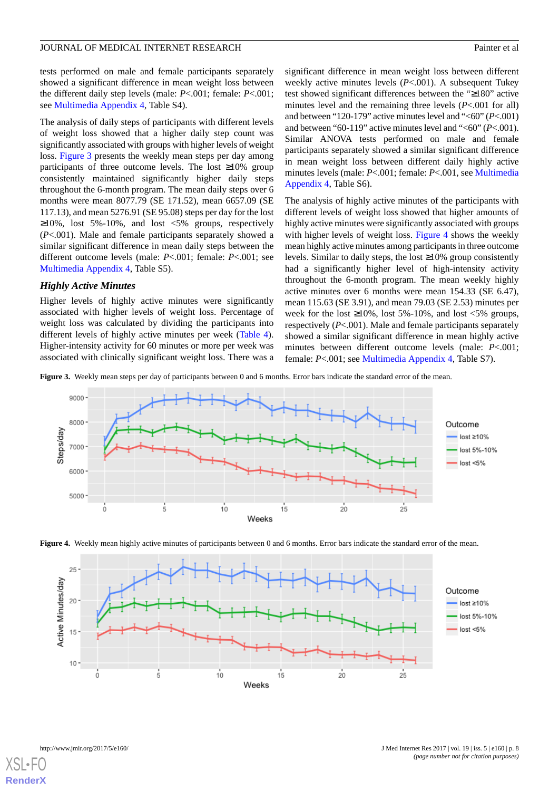tests performed on male and female participants separately showed a significant difference in mean weight loss between the different daily step levels (male: *P*<.001; female: *P*<.001; see [Multimedia Appendix 4,](#page-10-10) Table S4).

The analysis of daily steps of participants with different levels of weight loss showed that a higher daily step count was significantly associated with groups with higher levels of weight loss. [Figure 3](#page-7-0) presents the weekly mean steps per day among participants of three outcome levels. The lost ≥10% group consistently maintained significantly higher daily steps throughout the 6-month program. The mean daily steps over 6 months were mean 8077.79 (SE 171.52), mean 6657.09 (SE 117.13), and mean 5276.91 (SE 95.08) steps per day for the lost  $\geq$ 10%, lost 5%-10%, and lost <5% groups, respectively (*P*<.001). Male and female participants separately showed a similar significant difference in mean daily steps between the different outcome levels (male: *P*<.001; female: *P*<.001; see [Multimedia Appendix 4,](#page-10-10) Table S5).

#### *Highly Active Minutes*

Higher levels of highly active minutes were significantly associated with higher levels of weight loss. Percentage of weight loss was calculated by dividing the participants into different levels of highly active minutes per week [\(Table 4\)](#page-6-0). Higher-intensity activity for 60 minutes or more per week was associated with clinically significant weight loss. There was a significant difference in mean weight loss between different weekly active minutes levels (*P*<.001). A subsequent Tukey test showed significant differences between the "≥180" active minutes level and the remaining three levels (*P*<.001 for all) and between "120-179" active minutes level and "<60" (*P*<.001) and between "60-119" active minutes level and "<60" (*P*<.001). Similar ANOVA tests performed on male and female participants separately showed a similar significant difference in mean weight loss between different daily highly active minutes levels (male: *P*<.001; female: *P*<.001, see [Multimedia](#page-10-10) [Appendix 4,](#page-10-10) Table S6).

The analysis of highly active minutes of the participants with different levels of weight loss showed that higher amounts of highly active minutes were significantly associated with groups with higher levels of weight loss. [Figure 4](#page-7-1) shows the weekly mean highly active minutes among participants in three outcome levels. Similar to daily steps, the lost  $\geq 10\%$  group consistently had a significantly higher level of high-intensity activity throughout the 6-month program. The mean weekly highly active minutes over 6 months were mean 154.33 (SE 6.47), mean 115.63 (SE 3.91), and mean 79.03 (SE 2.53) minutes per week for the lost  $\geq 10\%$ , lost 5%-10%, and lost <5% groups, respectively (*P*<.001). Male and female participants separately showed a similar significant difference in mean highly active minutes between different outcome levels (male: *P*<.001; female: *P*<.001; see [Multimedia Appendix 4](#page-10-10), Table S7).

<span id="page-7-0"></span>**Figure 3.** Weekly mean steps per day of participants between 0 and 6 months. Error bars indicate the standard error of the mean.



<span id="page-7-1"></span>



[XSL](http://www.w3.org/Style/XSL)•FO **[RenderX](http://www.renderx.com/)**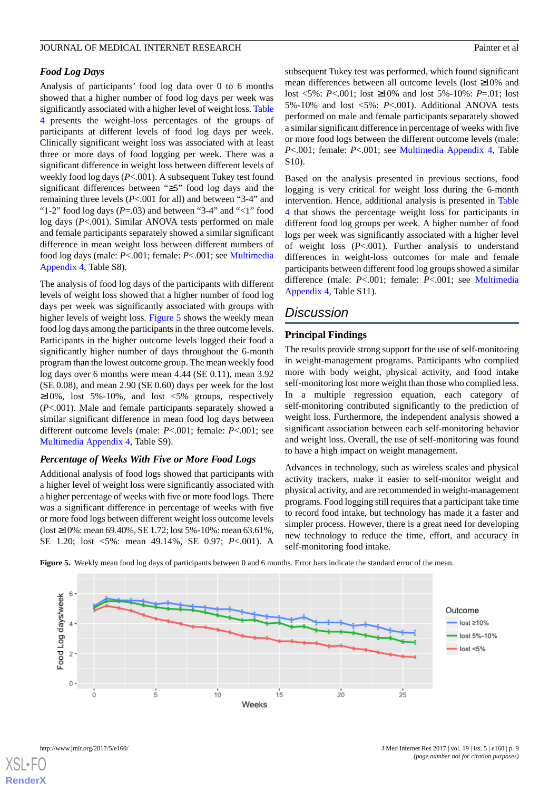# *Food Log Days*

Analysis of participants' food log data over 0 to 6 months showed that a higher number of food log days per week was significantly associated with a higher level of weight loss. [Table](#page-6-0) [4](#page-6-0) presents the weight-loss percentages of the groups of participants at different levels of food log days per week. Clinically significant weight loss was associated with at least three or more days of food logging per week. There was a significant difference in weight loss between different levels of weekly food log days (*P*<.001). A subsequent Tukey test found significant differences between "≥5" food log days and the remaining three levels (*P*<.001 for all) and between "3-4" and "1-2" food log days  $(P=.03)$  and between "3-4" and "<1" food log days (*P*<.001). Similar ANOVA tests performed on male and female participants separately showed a similar significant difference in mean weight loss between different numbers of food log days (male: *P*<.001; female: *P*<.001; see [Multimedia](#page-10-10) [Appendix 4,](#page-10-10) Table S8).

The analysis of food log days of the participants with different levels of weight loss showed that a higher number of food log days per week was significantly associated with groups with higher levels of weight loss. [Figure 5](#page-8-0) shows the weekly mean food log days among the participants in the three outcome levels. Participants in the higher outcome levels logged their food a significantly higher number of days throughout the 6-month program than the lowest outcome group. The mean weekly food log days over 6 months were mean 4.44 (SE 0.11), mean 3.92 (SE 0.08), and mean 2.90 (SE 0.60) days per week for the lost  $\geq 10\%$ , lost 5%-10%, and lost <5% groups, respectively (*P*<.001). Male and female participants separately showed a similar significant difference in mean food log days between different outcome levels (male: *P*<.001; female: *P*<.001; see [Multimedia Appendix 4,](#page-10-10) Table S9).

#### *Percentage of Weeks With Five or More Food Logs*

<span id="page-8-0"></span>Additional analysis of food logs showed that participants with a higher level of weight loss were significantly associated with a higher percentage of weeks with five or more food logs. There was a significant difference in percentage of weeks with five or more food logs between different weight loss outcome levels (lost ≥10%: mean 69.40%, SE 1.72; lost 5%-10%: mean 63.61%, SE 1.20; lost <5%: mean 49.14%, SE 0.97; *P*<.001). A

subsequent Tukey test was performed, which found significant mean differences between all outcome levels (lost ≥10% and lost <5%: *P*<.001; lost ≥10% and lost 5%-10%: *P*=.01; lost 5%-10% and lost <5%: *P*<.001). Additional ANOVA tests performed on male and female participants separately showed a similar significant difference in percentage of weeks with five or more food logs between the different outcome levels (male: *P*<.001; female: *P*<.001; see [Multimedia Appendix 4](#page-10-10), Table S10).

Based on the analysis presented in previous sections, food logging is very critical for weight loss during the 6-month intervention. Hence, additional analysis is presented in [Table](#page-6-0) [4](#page-6-0) that shows the percentage weight loss for participants in different food log groups per week. A higher number of food logs per week was significantly associated with a higher level of weight loss (*P*<.001). Further analysis to understand differences in weight-loss outcomes for male and female participants between different food log groups showed a similar difference (male: *P*<.001; female: *P*<.001; see [Multimedia](#page-10-10) [Appendix 4,](#page-10-10) Table S11).

# *Discussion*

#### **Principal Findings**

The results provide strong support for the use of self-monitoring in weight-management programs. Participants who complied more with body weight, physical activity, and food intake self-monitoring lost more weight than those who complied less. In a multiple regression equation, each category of self-monitoring contributed significantly to the prediction of weight loss. Furthermore, the independent analysis showed a significant association between each self-monitoring behavior and weight loss. Overall, the use of self-monitoring was found to have a high impact on weight management.

Advances in technology, such as wireless scales and physical activity trackers, make it easier to self-monitor weight and physical activity, and are recommended in weight-management programs. Food logging still requires that a participant take time to record food intake, but technology has made it a faster and simpler process. However, there is a great need for developing new technology to reduce the time, effort, and accuracy in self-monitoring food intake.

**Figure 5.** Weekly mean food log days of participants between 0 and 6 months. Error bars indicate the standard error of the mean.





**[RenderX](http://www.renderx.com/)**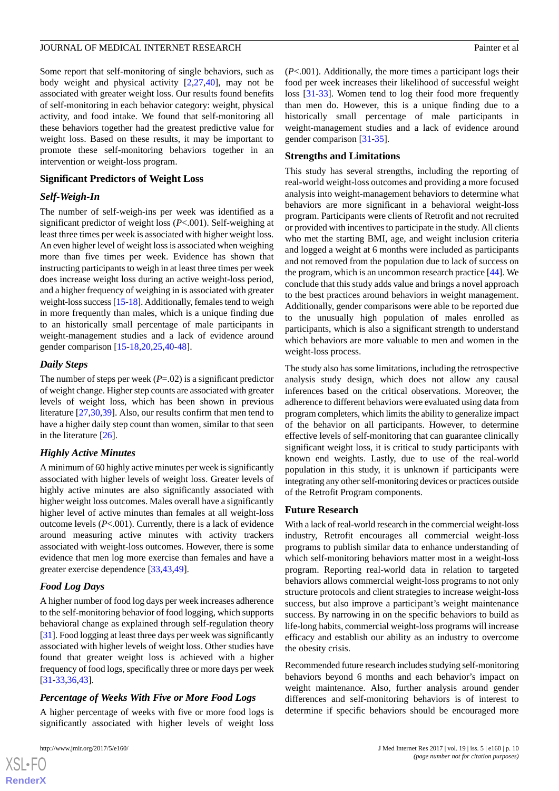Some report that self-monitoring of single behaviors, such as body weight and physical activity [\[2](#page-10-1),[27,](#page-11-9)[40](#page-12-8)], may not be associated with greater weight loss. Our results found benefits of self-monitoring in each behavior category: weight, physical activity, and food intake. We found that self-monitoring all these behaviors together had the greatest predictive value for weight loss. Based on these results, it may be important to promote these self-monitoring behaviors together in an intervention or weight-loss program.

#### **Significant Predictors of Weight Loss**

#### *Self-Weigh-In*

The number of self-weigh-ins per week was identified as a significant predictor of weight loss (*P*<.001). Self-weighing at least three times per week is associated with higher weight loss. An even higher level of weight loss is associated when weighing more than five times per week. Evidence has shown that instructing participants to weigh in at least three times per week does increase weight loss during an active weight-loss period, and a higher frequency of weighing in is associated with greater weight-loss success [[15-](#page-11-3)[18\]](#page-11-4). Additionally, females tend to weigh in more frequently than males, which is a unique finding due to an historically small percentage of male participants in weight-management studies and a lack of evidence around gender comparison [[15-](#page-11-3)[18](#page-11-4),[20,](#page-11-13)[25](#page-11-7),[40-](#page-12-8)[48\]](#page-12-9).

# *Daily Steps*

The number of steps per week (*P*=.02) is a significant predictor of weight change. Higher step counts are associated with greater levels of weight loss, which has been shown in previous literature [\[27](#page-11-9),[30,](#page-11-12)[39](#page-12-7)]. Also, our results confirm that men tend to have a higher daily step count than women, similar to that seen in the literature [\[26](#page-11-8)].

#### *Highly Active Minutes*

A minimum of 60 highly active minutes per week is significantly associated with higher levels of weight loss. Greater levels of highly active minutes are also significantly associated with higher weight loss outcomes. Males overall have a significantly higher level of active minutes than females at all weight-loss outcome levels  $(P<.001)$ . Currently, there is a lack of evidence around measuring active minutes with activity trackers associated with weight-loss outcomes. However, there is some evidence that men log more exercise than females and have a greater exercise dependence [[33](#page-12-10)[,43](#page-12-11),[49\]](#page-12-12).

#### *Food Log Days*

A higher number of food log days per week increases adherence to the self-monitoring behavior of food logging, which supports behavioral change as explained through self-regulation theory [[31\]](#page-12-0). Food logging at least three days per week was significantly associated with higher levels of weight loss. Other studies have found that greater weight loss is achieved with a higher frequency of food logs, specifically three or more days per week [[31](#page-12-0)[-33](#page-12-10),[36,](#page-12-3)[43](#page-12-11)].

#### *Percentage of Weeks With Five or More Food Logs*

A higher percentage of weeks with five or more food logs is significantly associated with higher levels of weight loss

 $XS$  $\cdot$ FC **[RenderX](http://www.renderx.com/)** (*P*<.001). Additionally, the more times a participant logs their food per week increases their likelihood of successful weight loss [\[31](#page-12-0)-[33\]](#page-12-10). Women tend to log their food more frequently than men do. However, this is a unique finding due to a historically small percentage of male participants in weight-management studies and a lack of evidence around gender comparison [[31](#page-12-0)[-35](#page-12-2)].

#### **Strengths and Limitations**

This study has several strengths, including the reporting of real-world weight-loss outcomes and providing a more focused analysis into weight-management behaviors to determine what behaviors are more significant in a behavioral weight-loss program. Participants were clients of Retrofit and not recruited or provided with incentives to participate in the study. All clients who met the starting BMI, age, and weight inclusion criteria and logged a weight at 6 months were included as participants and not removed from the population due to lack of success on the program, which is an uncommon research practice [[44\]](#page-12-13). We conclude that this study adds value and brings a novel approach to the best practices around behaviors in weight management. Additionally, gender comparisons were able to be reported due to the unusually high population of males enrolled as participants, which is also a significant strength to understand which behaviors are more valuable to men and women in the weight-loss process.

The study also has some limitations, including the retrospective analysis study design, which does not allow any causal inferences based on the critical observations. Moreover, the adherence to different behaviors were evaluated using data from program completers, which limits the ability to generalize impact of the behavior on all participants. However, to determine effective levels of self-monitoring that can guarantee clinically significant weight loss, it is critical to study participants with known end weights. Lastly, due to use of the real-world population in this study, it is unknown if participants were integrating any other self-monitoring devices or practices outside of the Retrofit Program components.

# **Future Research**

With a lack of real-world research in the commercial weight-loss industry, Retrofit encourages all commercial weight-loss programs to publish similar data to enhance understanding of which self-monitoring behaviors matter most in a weight-loss program. Reporting real-world data in relation to targeted behaviors allows commercial weight-loss programs to not only structure protocols and client strategies to increase weight-loss success, but also improve a participant's weight maintenance success. By narrowing in on the specific behaviors to build as life-long habits, commercial weight-loss programs will increase efficacy and establish our ability as an industry to overcome the obesity crisis.

Recommended future research includes studying self-monitoring behaviors beyond 6 months and each behavior's impact on weight maintenance. Also, further analysis around gender differences and self-monitoring behaviors is of interest to determine if specific behaviors should be encouraged more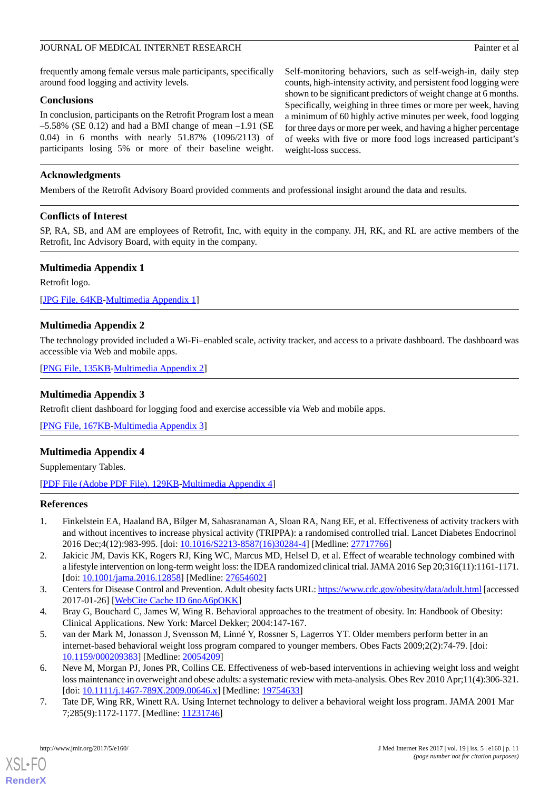frequently among female versus male participants, specifically around food logging and activity levels.

# **Conclusions**

In conclusion, participants on the Retrofit Program lost a mean  $-5.58\%$  (SE 0.12) and had a BMI change of mean  $-1.91$  (SE 0.04) in 6 months with nearly 51.87% (1096/2113) of participants losing 5% or more of their baseline weight. Self-monitoring behaviors, such as self-weigh-in, daily step counts, high-intensity activity, and persistent food logging were shown to be significant predictors of weight change at 6 months. Specifically, weighing in three times or more per week, having a minimum of 60 highly active minutes per week, food logging for three days or more per week, and having a higher percentage of weeks with five or more food logs increased participant's weight-loss success.

# **Acknowledgments**

Members of the Retrofit Advisory Board provided comments and professional insight around the data and results.

# **Conflicts of Interest**

<span id="page-10-7"></span>SP, RA, SB, and AM are employees of Retrofit, Inc, with equity in the company. JH, RK, and RL are active members of the Retrofit, Inc Advisory Board, with equity in the company.

# **Multimedia Appendix 1**

Retrofit logo.

<span id="page-10-8"></span>[[JPG File, 64KB-Multimedia Appendix 1\]](https://jmir.org/api/download?alt_name=jmir_v19i5e160_app1.jpg&filename=9318c9bff57681fc636923ceeffae264.jpg)

# **Multimedia Appendix 2**

<span id="page-10-9"></span>The technology provided included a Wi-Fi–enabled scale, activity tracker, and access to a private dashboard. The dashboard was accessible via Web and mobile apps.

[[PNG File, 135KB-Multimedia Appendix 2](https://jmir.org/api/download?alt_name=jmir_v19i5e160_app2.png&filename=914bcd5e2088f443b1bdd1d0df807b89.png)]

# **Multimedia Appendix 3**

<span id="page-10-10"></span>Retrofit client dashboard for logging food and exercise accessible via Web and mobile apps.

[[PNG File, 167KB-Multimedia Appendix 3](https://jmir.org/api/download?alt_name=jmir_v19i5e160_app3.png&filename=151ea7dde4f9cf3779f7276167905838.png)]

# **Multimedia Appendix 4**

<span id="page-10-0"></span>Supplementary Tables.

[[PDF File \(Adobe PDF File\), 129KB-Multimedia Appendix 4](https://jmir.org/api/download?alt_name=jmir_v19i5e160_app4.pdf&filename=992cb21d5680d71c8ac24364798798c0.pdf)]

#### <span id="page-10-1"></span>**References**

- <span id="page-10-2"></span>1. Finkelstein EA, Haaland BA, Bilger M, Sahasranaman A, Sloan RA, Nang EE, et al. Effectiveness of activity trackers with and without incentives to increase physical activity (TRIPPA): a randomised controlled trial. Lancet Diabetes Endocrinol 2016 Dec;4(12):983-995. [doi: [10.1016/S2213-8587\(16\)30284-4](http://dx.doi.org/10.1016/S2213-8587(16)30284-4)] [Medline: [27717766\]](http://www.ncbi.nlm.nih.gov/entrez/query.fcgi?cmd=Retrieve&db=PubMed&list_uids=27717766&dopt=Abstract)
- <span id="page-10-4"></span><span id="page-10-3"></span>2. Jakicic JM, Davis KK, Rogers RJ, King WC, Marcus MD, Helsel D, et al. Effect of wearable technology combined with a lifestyle intervention on long-term weight loss: the IDEA randomized clinical trial. JAMA 2016 Sep 20;316(11):1161-1171. [doi: [10.1001/jama.2016.12858\]](http://dx.doi.org/10.1001/jama.2016.12858) [Medline: [27654602](http://www.ncbi.nlm.nih.gov/entrez/query.fcgi?cmd=Retrieve&db=PubMed&list_uids=27654602&dopt=Abstract)]
- 3. Centers for Disease Control and Prevention. Adult obesity facts URL:<https://www.cdc.gov/obesity/data/adult.html> [accessed 2017-01-26] [\[WebCite Cache ID 6noA6pOKK](http://www.webcitation.org/

                                            6noA6pOKK)]
- <span id="page-10-5"></span>4. Bray G, Bouchard C, James W, Wing R. Behavioral approaches to the treatment of obesity. In: Handbook of Obesity: Clinical Applications. New York: Marcel Dekker; 2004:147-167.
- <span id="page-10-6"></span>5. van der Mark M, Jonasson J, Svensson M, Linné Y, Rossner S, Lagerros YT. Older members perform better in an internet-based behavioral weight loss program compared to younger members. Obes Facts 2009;2(2):74-79. [doi: [10.1159/000209383\]](http://dx.doi.org/10.1159/000209383) [Medline: [20054209\]](http://www.ncbi.nlm.nih.gov/entrez/query.fcgi?cmd=Retrieve&db=PubMed&list_uids=20054209&dopt=Abstract)
- 6. Neve M, Morgan PJ, Jones PR, Collins CE. Effectiveness of web-based interventions in achieving weight loss and weight loss maintenance in overweight and obese adults: a systematic review with meta-analysis. Obes Rev 2010 Apr;11(4):306-321. [doi: [10.1111/j.1467-789X.2009.00646.x\]](http://dx.doi.org/10.1111/j.1467-789X.2009.00646.x) [Medline: [19754633](http://www.ncbi.nlm.nih.gov/entrez/query.fcgi?cmd=Retrieve&db=PubMed&list_uids=19754633&dopt=Abstract)]
- 7. Tate DF, Wing RR, Winett RA. Using Internet technology to deliver a behavioral weight loss program. JAMA 2001 Mar 7;285(9):1172-1177. [Medline: [11231746](http://www.ncbi.nlm.nih.gov/entrez/query.fcgi?cmd=Retrieve&db=PubMed&list_uids=11231746&dopt=Abstract)]

[XSL](http://www.w3.org/Style/XSL)•FO **[RenderX](http://www.renderx.com/)**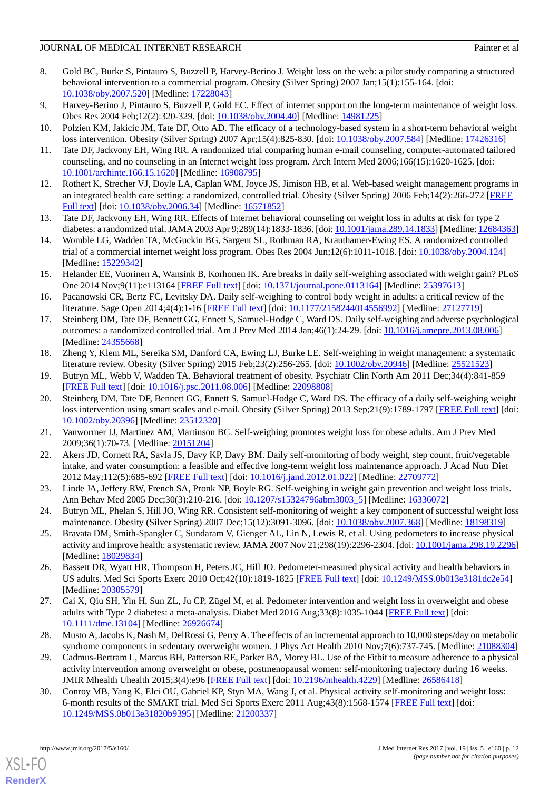- 8. Gold BC, Burke S, Pintauro S, Buzzell P, Harvey-Berino J. Weight loss on the web: a pilot study comparing a structured behavioral intervention to a commercial program. Obesity (Silver Spring) 2007 Jan;15(1):155-164. [doi: [10.1038/oby.2007.520](http://dx.doi.org/10.1038/oby.2007.520)] [Medline: [17228043\]](http://www.ncbi.nlm.nih.gov/entrez/query.fcgi?cmd=Retrieve&db=PubMed&list_uids=17228043&dopt=Abstract)
- 9. Harvey-Berino J, Pintauro S, Buzzell P, Gold EC. Effect of internet support on the long-term maintenance of weight loss. Obes Res 2004 Feb;12(2):320-329. [doi: [10.1038/oby.2004.40](http://dx.doi.org/10.1038/oby.2004.40)] [Medline: [14981225\]](http://www.ncbi.nlm.nih.gov/entrez/query.fcgi?cmd=Retrieve&db=PubMed&list_uids=14981225&dopt=Abstract)
- <span id="page-11-0"></span>10. Polzien KM, Jakicic JM, Tate DF, Otto AD. The efficacy of a technology-based system in a short-term behavioral weight loss intervention. Obesity (Silver Spring) 2007 Apr;15(4):825-830. [doi: [10.1038/oby.2007.584](http://dx.doi.org/10.1038/oby.2007.584)] [Medline: [17426316\]](http://www.ncbi.nlm.nih.gov/entrez/query.fcgi?cmd=Retrieve&db=PubMed&list_uids=17426316&dopt=Abstract)
- <span id="page-11-1"></span>11. Tate DF, Jackvony EH, Wing RR. A randomized trial comparing human e-mail counseling, computer-automated tailored counseling, and no counseling in an Internet weight loss program. Arch Intern Med 2006;166(15):1620-1625. [doi: [10.1001/archinte.166.15.1620](http://dx.doi.org/10.1001/archinte.166.15.1620)] [Medline: [16908795](http://www.ncbi.nlm.nih.gov/entrez/query.fcgi?cmd=Retrieve&db=PubMed&list_uids=16908795&dopt=Abstract)]
- 12. Rothert K, Strecher VJ, Doyle LA, Caplan WM, Joyce JS, Jimison HB, et al. Web-based weight management programs in an integrated health care setting: a randomized, controlled trial. Obesity (Silver Spring) 2006 Feb;14(2):266-272 [[FREE](http://dx.doi.org/10.1038/oby.2006.34) [Full text\]](http://dx.doi.org/10.1038/oby.2006.34) [doi: [10.1038/oby.2006.34\]](http://dx.doi.org/10.1038/oby.2006.34) [Medline: [16571852\]](http://www.ncbi.nlm.nih.gov/entrez/query.fcgi?cmd=Retrieve&db=PubMed&list_uids=16571852&dopt=Abstract)
- <span id="page-11-2"></span>13. Tate DF, Jackvony EH, Wing RR. Effects of Internet behavioral counseling on weight loss in adults at risk for type 2 diabetes: a randomized trial. JAMA 2003 Apr 9;289(14):1833-1836. [doi: [10.1001/jama.289.14.1833](http://dx.doi.org/10.1001/jama.289.14.1833)] [Medline: [12684363](http://www.ncbi.nlm.nih.gov/entrez/query.fcgi?cmd=Retrieve&db=PubMed&list_uids=12684363&dopt=Abstract)]
- <span id="page-11-3"></span>14. Womble LG, Wadden TA, McGuckin BG, Sargent SL, Rothman RA, Krauthamer-Ewing ES. A randomized controlled trial of a commercial internet weight loss program. Obes Res 2004 Jun;12(6):1011-1018. [doi: [10.1038/oby.2004.124\]](http://dx.doi.org/10.1038/oby.2004.124) [Medline: [15229342](http://www.ncbi.nlm.nih.gov/entrez/query.fcgi?cmd=Retrieve&db=PubMed&list_uids=15229342&dopt=Abstract)]
- 15. Helander EE, Vuorinen A, Wansink B, Korhonen IK. Are breaks in daily self-weighing associated with weight gain? PLoS One 2014 Nov;9(11):e113164 [[FREE Full text](http://dx.plos.org/10.1371/journal.pone.0113164)] [doi: [10.1371/journal.pone.0113164](http://dx.doi.org/10.1371/journal.pone.0113164)] [Medline: [25397613](http://www.ncbi.nlm.nih.gov/entrez/query.fcgi?cmd=Retrieve&db=PubMed&list_uids=25397613&dopt=Abstract)]
- 16. Pacanowski CR, Bertz FC, Levitsky DA. Daily self-weighing to control body weight in adults: a critical review of the literature. Sage Open 2014;4(4):1-16 [\[FREE Full text](http://europepmc.org/abstract/MED/27127719)] [doi: [10.1177/2158244014556992](http://dx.doi.org/10.1177/2158244014556992)] [Medline: [27127719\]](http://www.ncbi.nlm.nih.gov/entrez/query.fcgi?cmd=Retrieve&db=PubMed&list_uids=27127719&dopt=Abstract)
- <span id="page-11-4"></span>17. Steinberg DM, Tate DF, Bennett GG, Ennett S, Samuel-Hodge C, Ward DS. Daily self-weighing and adverse psychological outcomes: a randomized controlled trial. Am J Prev Med 2014 Jan;46(1):24-29. [doi: [10.1016/j.amepre.2013.08.006\]](http://dx.doi.org/10.1016/j.amepre.2013.08.006) [Medline: [24355668](http://www.ncbi.nlm.nih.gov/entrez/query.fcgi?cmd=Retrieve&db=PubMed&list_uids=24355668&dopt=Abstract)]
- <span id="page-11-13"></span><span id="page-11-5"></span>18. Zheng Y, Klem ML, Sereika SM, Danford CA, Ewing LJ, Burke LE. Self-weighing in weight management: a systematic literature review. Obesity (Silver Spring) 2015 Feb;23(2):256-265. [doi: [10.1002/oby.20946](http://dx.doi.org/10.1002/oby.20946)] [Medline: [25521523](http://www.ncbi.nlm.nih.gov/entrez/query.fcgi?cmd=Retrieve&db=PubMed&list_uids=25521523&dopt=Abstract)]
- 19. Butryn ML, Webb V, Wadden TA. Behavioral treatment of obesity. Psychiatr Clin North Am 2011 Dec;34(4):841-859 [[FREE Full text](http://europepmc.org/abstract/MED/22098808)] [doi: [10.1016/j.psc.2011.08.006\]](http://dx.doi.org/10.1016/j.psc.2011.08.006) [Medline: [22098808\]](http://www.ncbi.nlm.nih.gov/entrez/query.fcgi?cmd=Retrieve&db=PubMed&list_uids=22098808&dopt=Abstract)
- 20. Steinberg DM, Tate DF, Bennett GG, Ennett S, Samuel-Hodge C, Ward DS. The efficacy of a daily self-weighing weight loss intervention using smart scales and e-mail. Obesity (Silver Spring) 2013 Sep;21(9):1789-1797 [[FREE Full text](http://europepmc.org/abstract/MED/23512320)] [doi: [10.1002/oby.20396\]](http://dx.doi.org/10.1002/oby.20396) [Medline: [23512320](http://www.ncbi.nlm.nih.gov/entrez/query.fcgi?cmd=Retrieve&db=PubMed&list_uids=23512320&dopt=Abstract)]
- 21. Vanwormer JJ, Martinez AM, Martinson BC. Self-weighing promotes weight loss for obese adults. Am J Prev Med 2009;36(1):70-73. [Medline: [20151204](http://www.ncbi.nlm.nih.gov/entrez/query.fcgi?cmd=Retrieve&db=PubMed&list_uids=20151204&dopt=Abstract)]
- <span id="page-11-6"></span>22. Akers JD, Cornett RA, Savla JS, Davy KP, Davy BM. Daily self-monitoring of body weight, step count, fruit/vegetable intake, and water consumption: a feasible and effective long-term weight loss maintenance approach. J Acad Nutr Diet 2012 May;112(5):685-692 [[FREE Full text](http://europepmc.org/abstract/MED/22709772)] [doi: [10.1016/j.jand.2012.01.022\]](http://dx.doi.org/10.1016/j.jand.2012.01.022) [Medline: [22709772](http://www.ncbi.nlm.nih.gov/entrez/query.fcgi?cmd=Retrieve&db=PubMed&list_uids=22709772&dopt=Abstract)]
- <span id="page-11-7"></span>23. Linde JA, Jeffery RW, French SA, Pronk NP, Boyle RG. Self-weighing in weight gain prevention and weight loss trials. Ann Behav Med 2005 Dec;30(3):210-216. [doi: [10.1207/s15324796abm3003\\_5\]](http://dx.doi.org/10.1207/s15324796abm3003_5) [Medline: [16336072\]](http://www.ncbi.nlm.nih.gov/entrez/query.fcgi?cmd=Retrieve&db=PubMed&list_uids=16336072&dopt=Abstract)
- <span id="page-11-8"></span>24. Butryn ML, Phelan S, Hill JO, Wing RR. Consistent self-monitoring of weight: a key component of successful weight loss maintenance. Obesity (Silver Spring) 2007 Dec;15(12):3091-3096. [doi: [10.1038/oby.2007.368\]](http://dx.doi.org/10.1038/oby.2007.368) [Medline: [18198319\]](http://www.ncbi.nlm.nih.gov/entrez/query.fcgi?cmd=Retrieve&db=PubMed&list_uids=18198319&dopt=Abstract)
- <span id="page-11-9"></span>25. Bravata DM, Smith-Spangler C, Sundaram V, Gienger AL, Lin N, Lewis R, et al. Using pedometers to increase physical activity and improve health: a systematic review. JAMA 2007 Nov 21;298(19):2296-2304. [doi: [10.1001/jama.298.19.2296\]](http://dx.doi.org/10.1001/jama.298.19.2296) [Medline: [18029834](http://www.ncbi.nlm.nih.gov/entrez/query.fcgi?cmd=Retrieve&db=PubMed&list_uids=18029834&dopt=Abstract)]
- <span id="page-11-10"></span>26. Bassett DR, Wyatt HR, Thompson H, Peters JC, Hill JO. Pedometer-measured physical activity and health behaviors in US adults. Med Sci Sports Exerc 2010 Oct;42(10):1819-1825 [[FREE Full text](http://europepmc.org/abstract/MED/20305579)] [doi: [10.1249/MSS.0b013e3181dc2e54\]](http://dx.doi.org/10.1249/MSS.0b013e3181dc2e54) [Medline: [20305579](http://www.ncbi.nlm.nih.gov/entrez/query.fcgi?cmd=Retrieve&db=PubMed&list_uids=20305579&dopt=Abstract)]
- <span id="page-11-11"></span>27. Cai X, Qiu SH, Yin H, Sun ZL, Ju CP, Zügel M, et al. Pedometer intervention and weight loss in overweight and obese adults with Type 2 diabetes: a meta-analysis. Diabet Med 2016 Aug;33(8):1035-1044 [\[FREE Full text](http://europepmc.org/abstract/MED/26926674)] [doi: [10.1111/dme.13104](http://dx.doi.org/10.1111/dme.13104)] [Medline: [26926674](http://www.ncbi.nlm.nih.gov/entrez/query.fcgi?cmd=Retrieve&db=PubMed&list_uids=26926674&dopt=Abstract)]
- <span id="page-11-12"></span>28. Musto A, Jacobs K, Nash M, DelRossi G, Perry A. The effects of an incremental approach to 10,000 steps/day on metabolic syndrome components in sedentary overweight women. J Phys Act Health 2010 Nov;7(6):737-745. [Medline: [21088304](http://www.ncbi.nlm.nih.gov/entrez/query.fcgi?cmd=Retrieve&db=PubMed&list_uids=21088304&dopt=Abstract)]
- 29. Cadmus-Bertram L, Marcus BH, Patterson RE, Parker BA, Morey BL. Use of the Fitbit to measure adherence to a physical activity intervention among overweight or obese, postmenopausal women: self-monitoring trajectory during 16 weeks. JMIR Mhealth Uhealth 2015;3(4):e96 [\[FREE Full text\]](http://mhealth.jmir.org/2015/4/e96/) [doi: [10.2196/mhealth.4229\]](http://dx.doi.org/10.2196/mhealth.4229) [Medline: [26586418\]](http://www.ncbi.nlm.nih.gov/entrez/query.fcgi?cmd=Retrieve&db=PubMed&list_uids=26586418&dopt=Abstract)
- 30. Conroy MB, Yang K, Elci OU, Gabriel KP, Styn MA, Wang J, et al. Physical activity self-monitoring and weight loss: 6-month results of the SMART trial. Med Sci Sports Exerc 2011 Aug;43(8):1568-1574 [\[FREE Full text\]](http://europepmc.org/abstract/MED/21200337) [doi: [10.1249/MSS.0b013e31820b9395\]](http://dx.doi.org/10.1249/MSS.0b013e31820b9395) [Medline: [21200337\]](http://www.ncbi.nlm.nih.gov/entrez/query.fcgi?cmd=Retrieve&db=PubMed&list_uids=21200337&dopt=Abstract)

[XSL](http://www.w3.org/Style/XSL)•FO **[RenderX](http://www.renderx.com/)**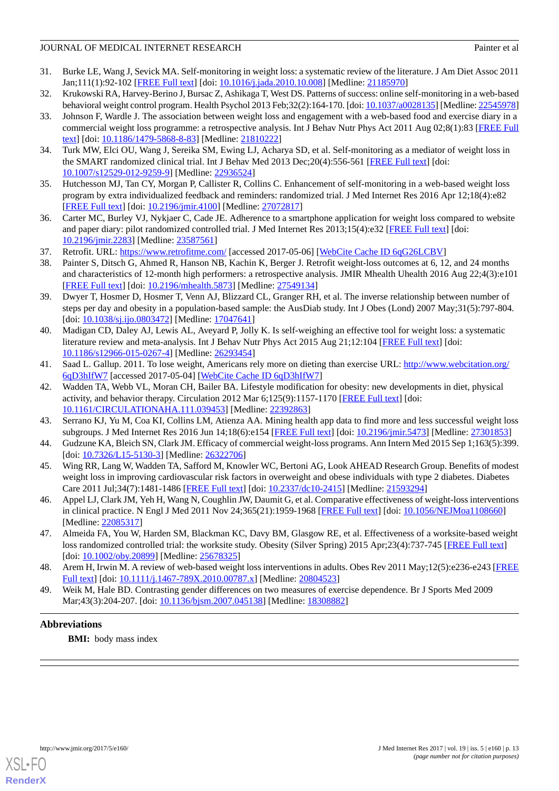- <span id="page-12-0"></span>31. Burke LE, Wang J, Sevick MA. Self-monitoring in weight loss: a systematic review of the literature. J Am Diet Assoc 2011 Jan;111(1):92-102 [\[FREE Full text\]](http://europepmc.org/abstract/MED/21185970) [doi: [10.1016/j.jada.2010.10.008\]](http://dx.doi.org/10.1016/j.jada.2010.10.008) [Medline: [21185970](http://www.ncbi.nlm.nih.gov/entrez/query.fcgi?cmd=Retrieve&db=PubMed&list_uids=21185970&dopt=Abstract)]
- <span id="page-12-10"></span><span id="page-12-4"></span>32. Krukowski RA, Harvey-Berino J, Bursac Z, Ashikaga T, West DS. Patterns of success: online self-monitoring in a web-based behavioral weight control program. Health Psychol 2013 Feb;32(2):164-170. [doi: [10.1037/a0028135\]](http://dx.doi.org/10.1037/a0028135) [Medline: [22545978\]](http://www.ncbi.nlm.nih.gov/entrez/query.fcgi?cmd=Retrieve&db=PubMed&list_uids=22545978&dopt=Abstract)
- 33. Johnson F, Wardle J. The association between weight loss and engagement with a web-based food and exercise diary in a commercial weight loss programme: a retrospective analysis. Int J Behav Nutr Phys Act 2011 Aug 02;8(1):83 [[FREE Full](https://ijbnpa.biomedcentral.com/articles/10.1186/1479-5868-8-83) [text](https://ijbnpa.biomedcentral.com/articles/10.1186/1479-5868-8-83)] [doi: [10.1186/1479-5868-8-83\]](http://dx.doi.org/10.1186/1479-5868-8-83) [Medline: [21810222\]](http://www.ncbi.nlm.nih.gov/entrez/query.fcgi?cmd=Retrieve&db=PubMed&list_uids=21810222&dopt=Abstract)
- <span id="page-12-2"></span><span id="page-12-1"></span>34. Turk MW, Elci OU, Wang J, Sereika SM, Ewing LJ, Acharya SD, et al. Self-monitoring as a mediator of weight loss in the SMART randomized clinical trial. Int J Behav Med 2013 Dec;20(4):556-561 [\[FREE Full text](http://europepmc.org/abstract/MED/22936524)] [doi: [10.1007/s12529-012-9259-9\]](http://dx.doi.org/10.1007/s12529-012-9259-9) [Medline: [22936524](http://www.ncbi.nlm.nih.gov/entrez/query.fcgi?cmd=Retrieve&db=PubMed&list_uids=22936524&dopt=Abstract)]
- <span id="page-12-3"></span>35. Hutchesson MJ, Tan CY, Morgan P, Callister R, Collins C. Enhancement of self-monitoring in a web-based weight loss program by extra individualized feedback and reminders: randomized trial. J Med Internet Res 2016 Apr 12;18(4):e82 [[FREE Full text](http://www.jmir.org/2016/4/e82/)] [doi: [10.2196/jmir.4100](http://dx.doi.org/10.2196/jmir.4100)] [Medline: [27072817](http://www.ncbi.nlm.nih.gov/entrez/query.fcgi?cmd=Retrieve&db=PubMed&list_uids=27072817&dopt=Abstract)]
- <span id="page-12-5"></span>36. Carter MC, Burley VJ, Nykjaer C, Cade JE. Adherence to a smartphone application for weight loss compared to website and paper diary: pilot randomized controlled trial. J Med Internet Res 2013;15(4):e32 [\[FREE Full text\]](http://www.jmir.org/2013/4/e32/) [doi: [10.2196/jmir.2283](http://dx.doi.org/10.2196/jmir.2283)] [Medline: [23587561](http://www.ncbi.nlm.nih.gov/entrez/query.fcgi?cmd=Retrieve&db=PubMed&list_uids=23587561&dopt=Abstract)]
- <span id="page-12-6"></span>37. Retrofit. URL: <https://www.retrofitme.com/> [accessed 2017-05-06] [\[WebCite Cache ID 6qG26LCBV](http://www.webcitation.org/

                                            6qG26LCBV)]
- <span id="page-12-7"></span>38. Painter S, Ditsch G, Ahmed R, Hanson NB, Kachin K, Berger J. Retrofit weight-loss outcomes at 6, 12, and 24 months and characteristics of 12-month high performers: a retrospective analysis. JMIR Mhealth Uhealth 2016 Aug 22;4(3):e101 [[FREE Full text](http://mhealth.jmir.org/2016/3/e101/)] [doi: [10.2196/mhealth.5873\]](http://dx.doi.org/10.2196/mhealth.5873) [Medline: [27549134](http://www.ncbi.nlm.nih.gov/entrez/query.fcgi?cmd=Retrieve&db=PubMed&list_uids=27549134&dopt=Abstract)]
- <span id="page-12-8"></span>39. Dwyer T, Hosmer D, Hosmer T, Venn AJ, Blizzard CL, Granger RH, et al. The inverse relationship between number of steps per day and obesity in a population-based sample: the AusDiab study. Int J Obes (Lond) 2007 May;31(5):797-804. [doi: [10.1038/sj.ijo.0803472](http://dx.doi.org/10.1038/sj.ijo.0803472)] [Medline: [17047641](http://www.ncbi.nlm.nih.gov/entrez/query.fcgi?cmd=Retrieve&db=PubMed&list_uids=17047641&dopt=Abstract)]
- 40. Madigan CD, Daley AJ, Lewis AL, Aveyard P, Jolly K. Is self-weighing an effective tool for weight loss: a systematic literature review and meta-analysis. Int J Behav Nutr Phys Act 2015 Aug 21;12:104 [\[FREE Full text\]](https://ijbnpa.biomedcentral.com/articles/10.1186/s12966-015-0267-4) [doi: [10.1186/s12966-015-0267-4\]](http://dx.doi.org/10.1186/s12966-015-0267-4) [Medline: [26293454](http://www.ncbi.nlm.nih.gov/entrez/query.fcgi?cmd=Retrieve&db=PubMed&list_uids=26293454&dopt=Abstract)]
- 41. Saad L. Gallup. 2011. To lose weight, Americans rely more on dieting than exercise URL: [http://www.webcitation.org/](http://www.webcitation.org/6qD3hIfW7) [6qD3hIfW7](http://www.webcitation.org/6qD3hIfW7) [accessed 2017-05-04] [[WebCite Cache ID 6qD3hIfW7](http://www.webcitation.org/

                                            6qD3hIfW7)]
- <span id="page-12-13"></span><span id="page-12-11"></span>42. Wadden TA, Webb VL, Moran CH, Bailer BA. Lifestyle modification for obesity: new developments in diet, physical activity, and behavior therapy. Circulation 2012 Mar 6;125(9):1157-1170 [[FREE Full text](http://circ.ahajournals.org/cgi/pmidlookup?view=long&pmid=22392863)] [doi: [10.1161/CIRCULATIONAHA.111.039453\]](http://dx.doi.org/10.1161/CIRCULATIONAHA.111.039453) [Medline: [22392863\]](http://www.ncbi.nlm.nih.gov/entrez/query.fcgi?cmd=Retrieve&db=PubMed&list_uids=22392863&dopt=Abstract)
- 43. Serrano KJ, Yu M, Coa KI, Collins LM, Atienza AA. Mining health app data to find more and less successful weight loss subgroups. J Med Internet Res 2016 Jun 14;18(6):e154 [\[FREE Full text\]](http://www.jmir.org/2016/6/e154/) [doi: [10.2196/jmir.5473\]](http://dx.doi.org/10.2196/jmir.5473) [Medline: [27301853\]](http://www.ncbi.nlm.nih.gov/entrez/query.fcgi?cmd=Retrieve&db=PubMed&list_uids=27301853&dopt=Abstract)
- 44. Gudzune KA, Bleich SN, Clark JM. Efficacy of commercial weight-loss programs. Ann Intern Med 2015 Sep 1;163(5):399. [doi: [10.7326/L15-5130-3\]](http://dx.doi.org/10.7326/L15-5130-3) [Medline: [26322706\]](http://www.ncbi.nlm.nih.gov/entrez/query.fcgi?cmd=Retrieve&db=PubMed&list_uids=26322706&dopt=Abstract)
- 45. Wing RR, Lang W, Wadden TA, Safford M, Knowler WC, Bertoni AG, Look AHEAD Research Group. Benefits of modest weight loss in improving cardiovascular risk factors in overweight and obese individuals with type 2 diabetes. Diabetes Care 2011 Jul;34(7):1481-1486 [\[FREE Full text\]](http://europepmc.org/abstract/MED/21593294) [doi: [10.2337/dc10-2415](http://dx.doi.org/10.2337/dc10-2415)] [Medline: [21593294\]](http://www.ncbi.nlm.nih.gov/entrez/query.fcgi?cmd=Retrieve&db=PubMed&list_uids=21593294&dopt=Abstract)
- <span id="page-12-9"></span>46. Appel LJ, Clark JM, Yeh H, Wang N, Coughlin JW, Daumit G, et al. Comparative effectiveness of weight-loss interventions in clinical practice. N Engl J Med 2011 Nov 24;365(21):1959-1968 [\[FREE Full text\]](http://europepmc.org/abstract/MED/22085317) [doi: [10.1056/NEJMoa1108660\]](http://dx.doi.org/10.1056/NEJMoa1108660) [Medline: [22085317](http://www.ncbi.nlm.nih.gov/entrez/query.fcgi?cmd=Retrieve&db=PubMed&list_uids=22085317&dopt=Abstract)]
- <span id="page-12-12"></span>47. Almeida FA, You W, Harden SM, Blackman KC, Davy BM, Glasgow RE, et al. Effectiveness of a worksite-based weight loss randomized controlled trial: the worksite study. Obesity (Silver Spring) 2015 Apr;23(4):737-745 [\[FREE Full text\]](http://dx.doi.org/10.1002/oby.20899) [doi: [10.1002/oby.20899](http://dx.doi.org/10.1002/oby.20899)] [Medline: [25678325\]](http://www.ncbi.nlm.nih.gov/entrez/query.fcgi?cmd=Retrieve&db=PubMed&list_uids=25678325&dopt=Abstract)
- 48. Arem H, Irwin M. A review of web-based weight loss interventions in adults. Obes Rev 2011 May;12(5):e236-e243 [\[FREE](http://europepmc.org/abstract/MED/20804523) [Full text\]](http://europepmc.org/abstract/MED/20804523) [doi: [10.1111/j.1467-789X.2010.00787.x\]](http://dx.doi.org/10.1111/j.1467-789X.2010.00787.x) [Medline: [20804523\]](http://www.ncbi.nlm.nih.gov/entrez/query.fcgi?cmd=Retrieve&db=PubMed&list_uids=20804523&dopt=Abstract)
- 49. Weik M, Hale BD. Contrasting gender differences on two measures of exercise dependence. Br J Sports Med 2009 Mar;43(3):204-207. [doi: [10.1136/bjsm.2007.045138\]](http://dx.doi.org/10.1136/bjsm.2007.045138) [Medline: [18308882\]](http://www.ncbi.nlm.nih.gov/entrez/query.fcgi?cmd=Retrieve&db=PubMed&list_uids=18308882&dopt=Abstract)

# **Abbreviations**

**BMI:** body mass index